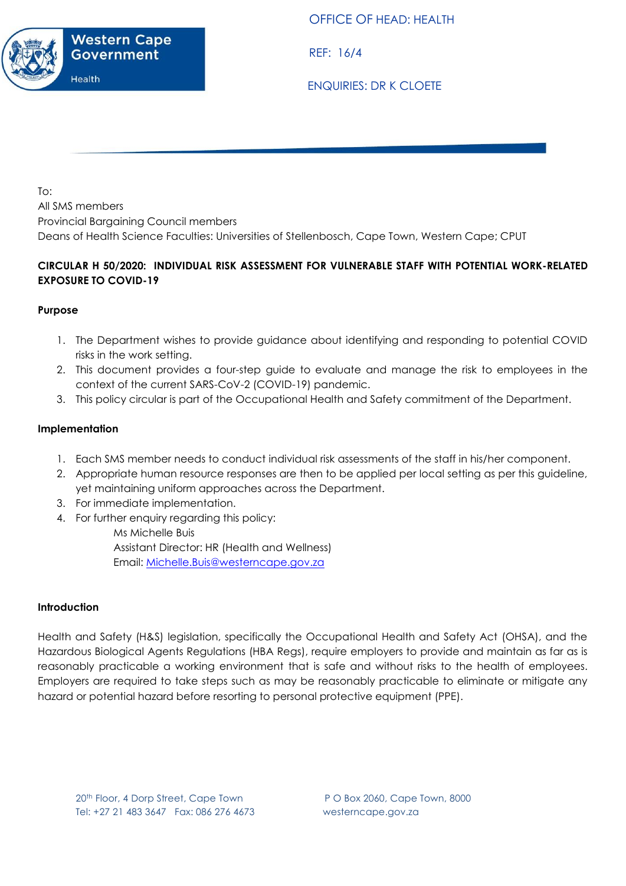

OFFICE OF HEAD: HEALTH

REF: 16/4

ENQUIRIES: DR K CLOETE

To: All SMS members Provincial Bargaining Council members Deans of Health Science Faculties: Universities of Stellenbosch, Cape Town, Western Cape; CPUT

# **CIRCULAR H 50/2020: INDIVIDUAL RISK ASSESSMENT FOR VULNERABLE STAFF WITH POTENTIAL WORK-RELATED EXPOSURE TO COVID-19**

## **Purpose**

- 1. The Department wishes to provide guidance about identifying and responding to potential COVID risks in the work setting.
- 2. This document provides a four-step guide to evaluate and manage the risk to employees in the context of the current SARS-CoV-2 (COVID-19) pandemic.
- 3. This policy circular is part of the Occupational Health and Safety commitment of the Department.

### **Implementation**

- 1. Each SMS member needs to conduct individual risk assessments of the staff in his/her component.
- 2. Appropriate human resource responses are then to be applied per local setting as per this guideline, yet maintaining uniform approaches across the Department.
- 3. For immediate implementation.
- 4. For further enquiry regarding this policy:

Ms Michelle Buis Assistant Director: HR (Health and Wellness) Email: [Michelle.Buis@westerncape.gov.za](mailto:Michelle.Buis@westerncape.gov.za)

### **Introduction**

Health and Safety (H&S) legislation, specifically the Occupational Health and Safety Act (OHSA), and the Hazardous Biological Agents Regulations (HBA Regs), require employers to provide and maintain as far as is reasonably practicable a working environment that is safe and without risks to the health of employees. Employers are required to take steps such as may be reasonably practicable to eliminate or mitigate any hazard or potential hazard before resorting to personal protective equipment (PPE).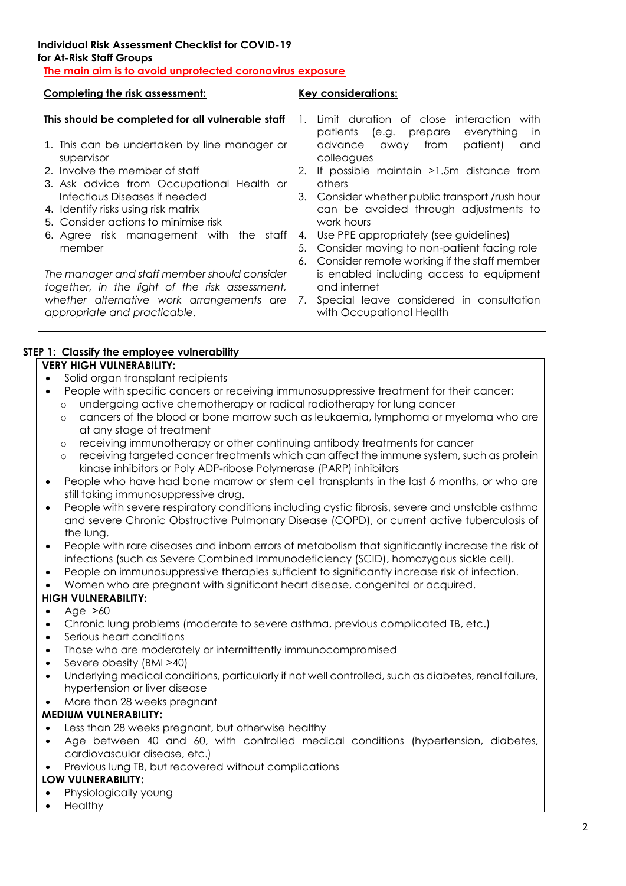# **Individual Risk Assessment Checklist for COVID-19**

#### **for At-Risk Staff Groups**

| The main aim is to avoid unprotected coronavirus exposure                                                                                                                                                                                                                                                                                                                                                                                                                                                                                          |                                                                                                                                                                                                                                                                                                                                                                                                                                                                                                                                                                                                                             |  |  |
|----------------------------------------------------------------------------------------------------------------------------------------------------------------------------------------------------------------------------------------------------------------------------------------------------------------------------------------------------------------------------------------------------------------------------------------------------------------------------------------------------------------------------------------------------|-----------------------------------------------------------------------------------------------------------------------------------------------------------------------------------------------------------------------------------------------------------------------------------------------------------------------------------------------------------------------------------------------------------------------------------------------------------------------------------------------------------------------------------------------------------------------------------------------------------------------------|--|--|
| <b>Completing the risk assessment:</b>                                                                                                                                                                                                                                                                                                                                                                                                                                                                                                             | <b>Key considerations:</b>                                                                                                                                                                                                                                                                                                                                                                                                                                                                                                                                                                                                  |  |  |
| This should be completed for all vulnerable staff<br>1. This can be undertaken by line manager or<br>supervisor<br>2. Involve the member of staff<br>3. Ask advice from Occupational Health or<br>Infectious Diseases if needed<br>4. Identify risks using risk matrix<br>5. Consider actions to minimise risk<br>6. Agree risk management with the staff<br>member<br>The manager and staff member should consider<br>together, in the light of the risk assessment,<br>whether alternative work arrangements are<br>appropriate and practicable. | Limit duration of close interaction with<br>1.<br>everything<br>patients (e.g. prepare<br>In<br>away from patient)<br>advance<br>and<br>colleagues<br>If possible maintain >1.5m distance from<br>2.<br>others<br>3. Consider whether public transport /rush hour<br>can be avoided through adjustments to<br>work hours<br>Use PPE appropriately (see guidelines)<br>4.<br>Consider moving to non-patient facing role<br>5.<br>Consider remote working if the staff member<br>6.<br>is enabled including access to equipment<br>and internet<br>Special leave considered in consultation<br>7.<br>with Occupational Health |  |  |

## **STEP 1: Classify the employee vulnerability**

# **VERY HIGH VULNERABILITY:**

- Solid organ transplant recipients
- People with specific cancers or receiving immunosuppressive treatment for their cancer:
	- o undergoing active chemotherapy or radical radiotherapy for lung cancer
	- o cancers of the blood or bone marrow such as leukaemia, lymphoma or myeloma who are at any stage of treatment
	- o receiving immunotherapy or other continuing antibody treatments for cancer
	- o receiving targeted cancer treatments which can affect the immune system, such as protein kinase inhibitors or Poly ADP-ribose Polymerase (PARP) inhibitors
- People who have had bone marrow or stem cell transplants in the last 6 months, or who are still taking immunosuppressive drug.
- People with severe respiratory conditions including cystic fibrosis, severe and unstable asthma and severe Chronic Obstructive Pulmonary Disease (COPD), or current active tuberculosis of the lung.
- People with rare diseases and inborn errors of metabolism that significantly increase the risk of infections (such as Severe Combined Immunodeficiency (SCID), homozygous sickle cell).
- People on immunosuppressive therapies sufficient to significantly increase risk of infection.
- Women who are pregnant with significant heart disease, congenital or acquired.

# **HIGH VULNERABILITY:**

- $\bullet$  Age  $>60$
- Chronic lung problems (moderate to severe asthma, previous complicated TB, etc.)
- Serious heart conditions
- Those who are moderately or intermittently immunocompromised
- Severe obesity (BMI >40)
- Underlying medical conditions, particularly if not well controlled, such as diabetes, renal failure, hypertension or liver disease
- More than 28 weeks pregnant

### **MEDIUM VULNERABILITY:**

- Less than 28 weeks pregnant, but otherwise healthy
- Age between 40 and 60, with controlled medical conditions (hypertension, diabetes, cardiovascular disease, etc.)
- Previous lung TB, but recovered without complications

### **LOW VULNERABILITY:**

- Physiologically young
- Healthy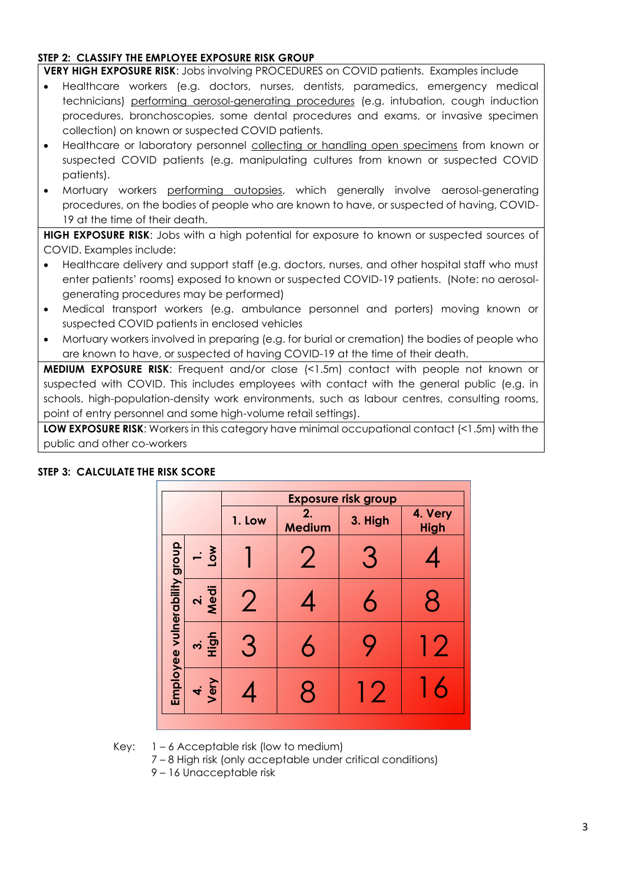### **STEP 2: CLASSIFY THE EMPLOYEE EXPOSURE RISK GROUP**

**VERY HIGH EXPOSURE RISK**: Jobs involving PROCEDURES on COVID patients. Examples include

- Healthcare workers (e.g. doctors, nurses, dentists, paramedics, emergency medical technicians) performing aerosol-generating procedures (e.g. intubation, cough induction procedures, bronchoscopies, some dental procedures and exams, or invasive specimen collection) on known or suspected COVID patients.
- Healthcare or laboratory personnel collecting or handling open specimens from known or suspected COVID patients (e.g. manipulating cultures from known or suspected COVID patients).
- Mortuary workers performing autopsies, which generally involve aerosol-generating procedures, on the bodies of people who are known to have, or suspected of having, COVID-19 at the time of their death.

**HIGH EXPOSURE RISK**: Jobs with a high potential for exposure to known or suspected sources of COVID. Examples include:

- Healthcare delivery and support staff (e.g. doctors, nurses, and other hospital staff who must enter patients' rooms) exposed to known or suspected COVID-19 patients. (Note: no aerosolgenerating procedures may be performed)
- Medical transport workers (e.g. ambulance personnel and porters) moving known or suspected COVID patients in enclosed vehicles
- Mortuary workers involved in preparing (e.g. for burial or cremation) the bodies of people who are known to have, or suspected of having COVID-19 at the time of their death.

**MEDIUM EXPOSURE RISK**: Frequent and/or close (<1.5m) contact with people not known or suspected with COVID. This includes employees with contact with the general public (e.g. in schools, high-population-density work environments, such as labour centres, consulting rooms, point of entry personnel and some high-volume retail settings).

**LOW EXPOSURE RISK:** Workers in this category have minimal occupational contact (<1.5m) with the public and other co-workers

|                              |                | <b>Exposure risk group</b> |                     |         |                        |
|------------------------------|----------------|----------------------------|---------------------|---------|------------------------|
|                              |                | 1. Low                     | 2.<br><b>Medium</b> | 3. High | 4. Very<br><b>High</b> |
| Employee vulnerability group | Low            |                            |                     | З       |                        |
|                              | 2.<br>Medi     | $\overline{2}$             |                     | 6       | 8                      |
|                              | $\frac{3}{10}$ | З                          | 6                   |         | 12                     |
|                              | 4.<br>Very     |                            | R                   | 12      |                        |

### **STEP 3: CALCULATE THE RISK SCORE**

Key: 1 – 6 Acceptable risk (low to medium)

- 7 8 High risk (only acceptable under critical conditions)
- 9 16 Unacceptable risk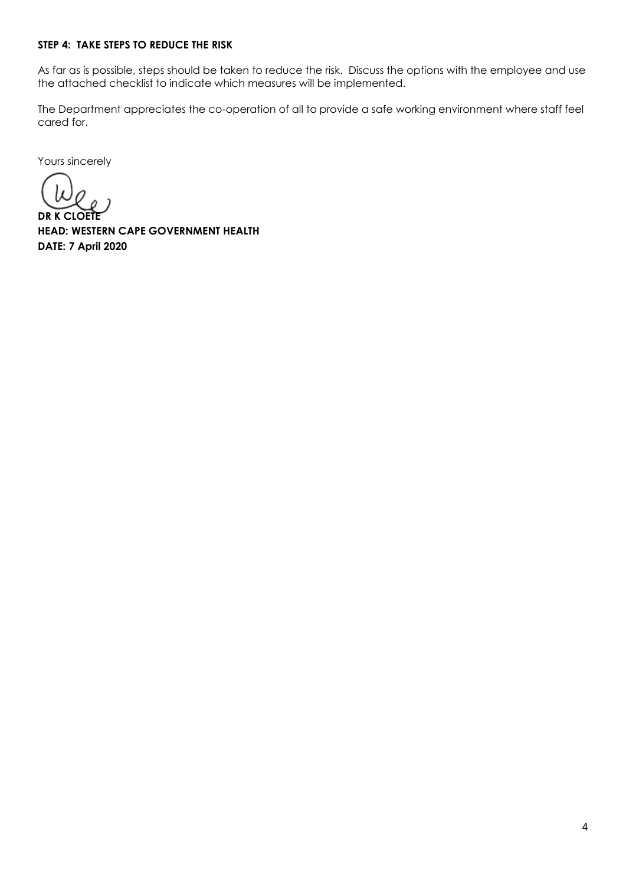#### **STEP 4: TAKE STEPS TO REDUCE THE RISK**

As far as is possible, steps should be taken to reduce the risk. Discuss the options with the employee and use the attached checklist to indicate which measures will be implemented.

The Department appreciates the co-operation of all to provide a safe working environment where staff feel cared for.

Yours sincerely

**DR K CLOETE**

**HEAD: WESTERN CAPE GOVERNMENT HEALTH DATE: 7 April 2020**